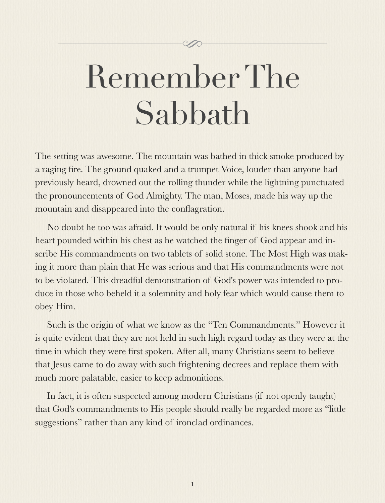# Remember The Sabbath

The setting was awesome. The mountain was bathed in thick smoke produced by a raging fire. The ground quaked and a trumpet Voice, louder than anyone had previously heard, drowned out the rolling thunder while the lightning punctuated the pronouncements of God Almighty. The man, Moses, made his way up the mountain and disappeared into the conflagration.

No doubt he too was afraid. It would be only natural if his knees shook and his heart pounded within his chest as he watched the finger of God appear and inscribe His commandments on two tablets of solid stone. The Most High was making it more than plain that He was serious and that His commandments were not to be violated. This dreadful demonstration of God's power was intended to produce in those who beheld it a solemnity and holy fear which would cause them to obey Him.

Such is the origin of what we know as the "Ten Commandments." However it is quite evident that they are not held in such high regard today as they were at the time in which they were first spoken. After all, many Christians seem to believe that Jesus came to do away with such frightening decrees and replace them with much more palatable, easier to keep admonitions.

In fact, it is often suspected among modern Christians (if not openly taught) that God's commandments to His people should really be regarded more as "little suggestions" rather than any kind of ironclad ordinances.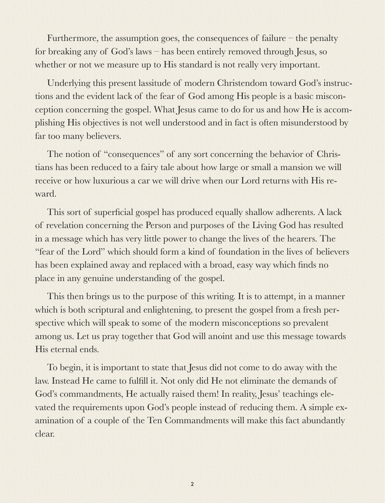Furthermore, the assumption goes, the consequences of failure – the penalty for breaking any of God's laws – has been entirely removed through Jesus, so whether or not we measure up to His standard is not really very important.

Underlying this present lassitude of modern Christendom toward God's instructions and the evident lack of the fear of God among His people is a basic misconception concerning the gospel. What Jesus came to do for us and how He is accomplishing His objectives is not well understood and in fact is often misunderstood by far too many believers.

The notion of "consequences" of any sort concerning the behavior of Christians has been reduced to a fairy tale about how large or small a mansion we will receive or how luxurious a car we will drive when our Lord returns with His reward.

This sort of superficial gospel has produced equally shallow adherents. A lack of revelation concerning the Person and purposes of the Living God has resulted in a message which has very little power to change the lives of the hearers. The "fear of the Lord" which should form a kind of foundation in the lives of believers has been explained away and replaced with a broad, easy way which finds no place in any genuine understanding of the gospel.

This then brings us to the purpose of this writing. It is to attempt, in a manner which is both scriptural and enlightening, to present the gospel from a fresh perspective which will speak to some of the modern misconceptions so prevalent among us. Let us pray together that God will anoint and use this message towards His eternal ends.

To begin, it is important to state that Jesus did not come to do away with the law. Instead He came to fulfill it. Not only did He not eliminate the demands of God's commandments, He actually raised them! In reality, Jesus' teachings elevated the requirements upon God's people instead of reducing them. A simple examination of a couple of the Ten Commandments will make this fact abundantly clear.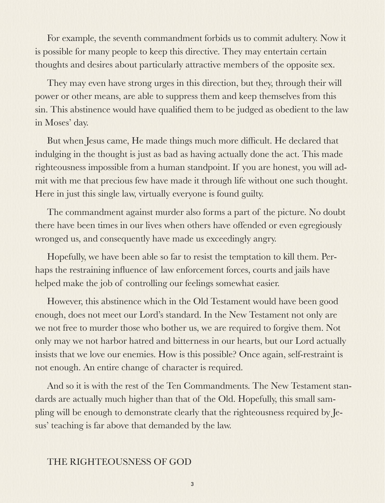For example, the seventh commandment forbids us to commit adultery. Now it is possible for many people to keep this directive. They may entertain certain thoughts and desires about particularly attractive members of the opposite sex.

They may even have strong urges in this direction, but they, through their will power or other means, are able to suppress them and keep themselves from this sin. This abstinence would have qualified them to be judged as obedient to the law in Moses' day.

But when Jesus came, He made things much more difficult. He declared that indulging in the thought is just as bad as having actually done the act. This made righteousness impossible from a human standpoint. If you are honest, you will admit with me that precious few have made it through life without one such thought. Here in just this single law, virtually everyone is found guilty.

The commandment against murder also forms a part of the picture. No doubt there have been times in our lives when others have offended or even egregiously wronged us, and consequently have made us exceedingly angry.

Hopefully, we have been able so far to resist the temptation to kill them. Perhaps the restraining influence of law enforcement forces, courts and jails have helped make the job of controlling our feelings somewhat easier.

However, this abstinence which in the Old Testament would have been good enough, does not meet our Lord's standard. In the New Testament not only are we not free to murder those who bother us, we are required to forgive them. Not only may we not harbor hatred and bitterness in our hearts, but our Lord actually insists that we love our enemies. How is this possible? Once again, self-restraint is not enough. An entire change of character is required.

And so it is with the rest of the Ten Commandments. The New Testament standards are actually much higher than that of the Old. Hopefully, this small sampling will be enough to demonstrate clearly that the righteousness required by Jesus' teaching is far above that demanded by the law.

#### THE RIGHTEOUSNESS OF GOD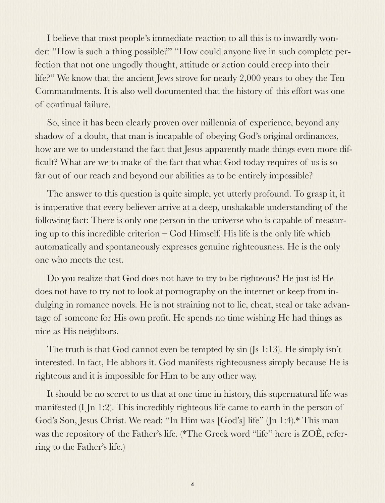I believe that most people's immediate reaction to all this is to inwardly wonder: "How is such a thing possible?" "How could anyone live in such complete perfection that not one ungodly thought, attitude or action could creep into their life?" We know that the ancient Jews strove for nearly 2,000 years to obey the Ten Commandments. It is also well documented that the history of this effort was one of continual failure.

So, since it has been clearly proven over millennia of experience, beyond any shadow of a doubt, that man is incapable of obeying God's original ordinances, how are we to understand the fact that Jesus apparently made things even more difficult? What are we to make of the fact that what God today requires of us is so far out of our reach and beyond our abilities as to be entirely impossible?

The answer to this question is quite simple, yet utterly profound. To grasp it, it is imperative that every believer arrive at a deep, unshakable understanding of the following fact: There is only one person in the universe who is capable of measuring up to this incredible criterion – God Himself. His life is the only life which automatically and spontaneously expresses genuine righteousness. He is the only one who meets the test.

Do you realize that God does not have to try to be righteous? He just is! He does not have to try not to look at pornography on the internet or keep from indulging in romance novels. He is not straining not to lie, cheat, steal or take advantage of someone for His own profit. He spends no time wishing He had things as nice as His neighbors.

The truth is that God cannot even be tempted by sin (Js 1:13). He simply isn't interested. In fact, He abhors it. God manifests righteousness simply because He is righteous and it is impossible for Him to be any other way.

It should be no secret to us that at one time in history, this supernatural life was manifested (I Jn 1:2). This incredibly righteous life came to earth in the person of God's Son, Jesus Christ. We read: "In Him was [God's] life" (Jn 1:4).\* This man was the repository of the Father's life. (\*The Greek word "life" here is ZOÊ, referring to the Father's life.)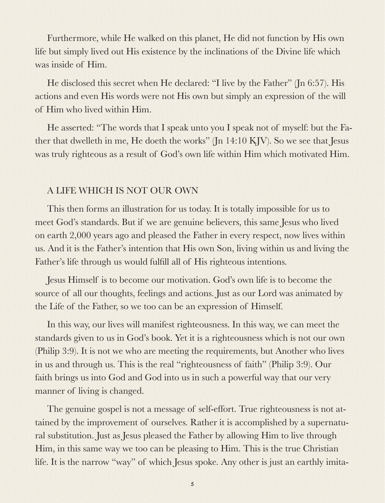Furthermore, while He walked on this planet, He did not function by His own life but simply lived out His existence by the inclinations of the Divine life which was inside of Him.

He disclosed this secret when He declared: "I live by the Father" (Jn 6:57). His actions and even His words were not His own but simply an expression of the will of Him who lived within Him.

He asserted: "The words that I speak unto you I speak not of myself: but the Father that dwelleth in me, He doeth the works" (Jn 14:10 KJV). So we see that Jesus was truly righteous as a result of God's own life within Him which motivated Him.

#### A LIFE WHICH IS NOT OUR OWN

This then forms an illustration for us today. It is totally impossible for us to meet God's standards. But if we are genuine believers, this same Jesus who lived on earth 2,000 years ago and pleased the Father in every respect, now lives within us. And it is the Father's intention that His own Son, living within us and living the Father's life through us would fulfill all of His righteous intentions.

Jesus Himself is to become our motivation. God's own life is to become the source of all our thoughts, feelings and actions. Just as our Lord was animated by the Life of the Father, so we too can be an expression of Himself.

In this way, our lives will manifest righteousness. In this way, we can meet the standards given to us in God's book. Yet it is a righteousness which is not our own (Philip 3:9). It is not we who are meeting the requirements, but Another who lives in us and through us. This is the real "righteousness of faith" (Philip 3:9). Our faith brings us into God and God into us in such a powerful way that our very manner of living is changed.

The genuine gospel is not a message of self-effort. True righteousness is not attained by the improvement of ourselves. Rather it is accomplished by a supernatural substitution. Just as Jesus pleased the Father by allowing Him to live through Him, in this same way we too can be pleasing to Him. This is the true Christian life. It is the narrow "way" of which Jesus spoke. Any other is just an earthly imita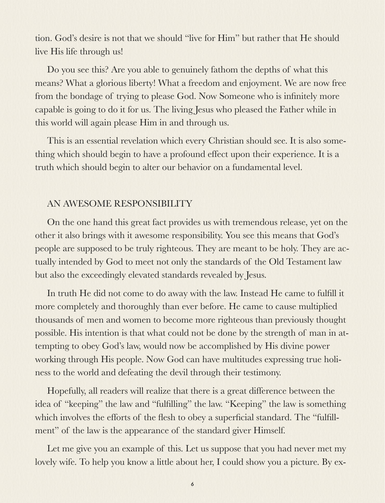tion. God's desire is not that we should "live for Him" but rather that He should live His life through us!

Do you see this? Are you able to genuinely fathom the depths of what this means? What a glorious liberty! What a freedom and enjoyment. We are now free from the bondage of trying to please God. Now Someone who is infinitely more capable is going to do it for us. The living Jesus who pleased the Father while in this world will again please Him in and through us.

This is an essential revelation which every Christian should see. It is also something which should begin to have a profound effect upon their experience. It is a truth which should begin to alter our behavior on a fundamental level.

#### AN AWESOME RESPONSIBILITY

On the one hand this great fact provides us with tremendous release, yet on the other it also brings with it awesome responsibility. You see this means that God's people are supposed to be truly righteous. They are meant to be holy. They are actually intended by God to meet not only the standards of the Old Testament law but also the exceedingly elevated standards revealed by Jesus.

In truth He did not come to do away with the law. Instead He came to fulfill it more completely and thoroughly than ever before. He came to cause multiplied thousands of men and women to become more righteous than previously thought possible. His intention is that what could not be done by the strength of man in attempting to obey God's law, would now be accomplished by His divine power working through His people. Now God can have multitudes expressing true holiness to the world and defeating the devil through their testimony.

Hopefully, all readers will realize that there is a great difference between the idea of "keeping" the law and "fulfilling" the law. "Keeping" the law is something which involves the efforts of the flesh to obey a superficial standard. The "fulfillment" of the law is the appearance of the standard giver Himself.

Let me give you an example of this. Let us suppose that you had never met my lovely wife. To help you know a little about her, I could show you a picture. By ex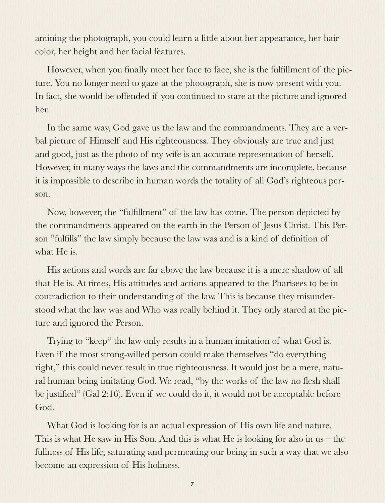amining the photograph, you could learn a little about her appearance, her hair color, her height and her facial features.

However, when you finally meet her face to face, she is the fulfillment of the picture. You no longer need to gaze at the photograph, she is now present with you. In fact, she would be offended if you continued to stare at the picture and ignored her.

In the same way, God gave us the law and the commandments. They are a verbal picture of Himself and His righteousness. They obviously are true and just and good, just as the photo of my wife is an accurate representation of herself. However, in many ways the laws and the commandments are incomplete, because it is impossible to describe in human words the totality of all God's righteous person.

Now, however, the "fulfillment" of the law has come. The person depicted by the commandments appeared on the earth in the Person of Jesus Christ. This Person "fulfills" the law simply because the law was and is a kind of definition of what He is.

His actions and words are far above the law because it is a mere shadow of all that He is. At times, His attitudes and actions appeared to the Pharisees to be in contradiction to their understanding of the law. This is because they misunderstood what the law was and Who was really behind it. They only stared at the picture and ignored the Person.

Trying to "keep" the law only results in a human imitation of what God is. Even if the most strong-willed person could make themselves "do everything right," this could never result in true righteousness. It would just be a mere, natural human being imitating God. We read, "by the works of the law no flesh shall be justified" (Gal 2:16). Even if we could do it, it would not be acceptable before God.

What God is looking for is an actual expression of His own life and nature. This is what He saw in His Son. And this is what He is looking for also in us – the fullness of His life, saturating and permeating our being in such a way that we also become an expression of His holiness.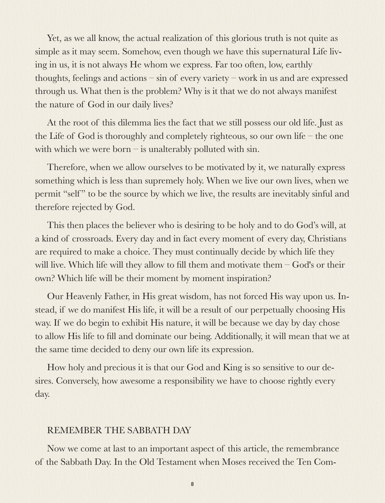Yet, as we all know, the actual realization of this glorious truth is not quite as simple as it may seem. Somehow, even though we have this supernatural Life living in us, it is not always He whom we express. Far too often, low, earthly thoughts, feelings and actions – sin of every variety – work in us and are expressed through us. What then is the problem? Why is it that we do not always manifest the nature of God in our daily lives?

At the root of this dilemma lies the fact that we still possess our old life. Just as the Life of God is thoroughly and completely righteous, so our own life – the one with which we were born  $-$  is unalterably polluted with sin.

Therefore, when we allow ourselves to be motivated by it, we naturally express something which is less than supremely holy. When we live our own lives, when we permit "self" to be the source by which we live, the results are inevitably sinful and therefore rejected by God.

This then places the believer who is desiring to be holy and to do God's will, at a kind of crossroads. Every day and in fact every moment of every day, Christians are required to make a choice. They must continually decide by which life they will live. Which life will they allow to fill them and motivate them – God's or their own? Which life will be their moment by moment inspiration?

Our Heavenly Father, in His great wisdom, has not forced His way upon us. Instead, if we do manifest His life, it will be a result of our perpetually choosing His way. If we do begin to exhibit His nature, it will be because we day by day chose to allow His life to fill and dominate our being. Additionally, it will mean that we at the same time decided to deny our own life its expression.

How holy and precious it is that our God and King is so sensitive to our desires. Conversely, how awesome a responsibility we have to choose rightly every day.

#### REMEMBER THE SABBATH DAY

Now we come at last to an important aspect of this article, the remembrance of the Sabbath Day. In the Old Testament when Moses received the Ten Com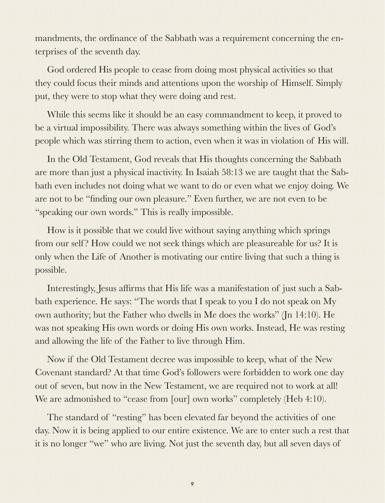mandments, the ordinance of the Sabbath was a requirement concerning the enterprises of the seventh day.

God ordered His people to cease from doing most physical activities so that they could focus their minds and attentions upon the worship of Himself. Simply put, they were to stop what they were doing and rest.

While this seems like it should be an easy commandment to keep, it proved to be a virtual impossibility. There was always something within the lives of God's people which was stirring them to action, even when it was in violation of His will.

In the Old Testament, God reveals that His thoughts concerning the Sabbath are more than just a physical inactivity. In Isaiah 58:13 we are taught that the Sabbath even includes not doing what we want to do or even what we enjoy doing. We are not to be "finding our own pleasure." Even further, we are not even to be "speaking our own words." This is really impossible.

How is it possible that we could live without saying anything which springs from our self? How could we not seek things which are pleasureable for us? It is only when the Life of Another is motivating our entire living that such a thing is possible.

Interestingly, Jesus affirms that His life was a manifestation of just such a Sabbath experience. He says: "The words that I speak to you I do not speak on My own authority; but the Father who dwells in Me does the works" (Jn 14:10). He was not speaking His own words or doing His own works. Instead, He was resting and allowing the life of the Father to live through Him.

Now if the Old Testament decree was impossible to keep, what of the New Covenant standard? At that time God's followers were forbidden to work one day out of seven, but now in the New Testament, we are required not to work at all! We are admonished to "cease from [our] own works" completely (Heb 4:10).

The standard of "resting" has been elevated far beyond the activities of one day. Now it is being applied to our entire existence. We are to enter such a rest that it is no longer "we" who are living. Not just the seventh day, but all seven days of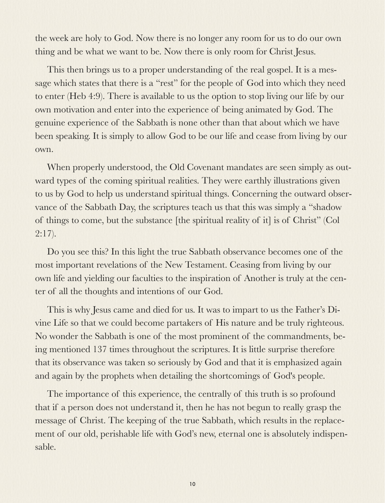the week are holy to God. Now there is no longer any room for us to do our own thing and be what we want to be. Now there is only room for Christ Jesus.

This then brings us to a proper understanding of the real gospel. It is a message which states that there is a "rest" for the people of God into which they need to enter (Heb 4:9). There is available to us the option to stop living our life by our own motivation and enter into the experience of being animated by God. The genuine experience of the Sabbath is none other than that about which we have been speaking. It is simply to allow God to be our life and cease from living by our own.

When properly understood, the Old Covenant mandates are seen simply as outward types of the coming spiritual realities. They were earthly illustrations given to us by God to help us understand spiritual things. Concerning the outward observance of the Sabbath Day, the scriptures teach us that this was simply a "shadow of things to come, but the substance [the spiritual reality of it] is of Christ" (Col 2:17).

Do you see this? In this light the true Sabbath observance becomes one of the most important revelations of the New Testament. Ceasing from living by our own life and yielding our faculties to the inspiration of Another is truly at the center of all the thoughts and intentions of our God.

This is why Jesus came and died for us. It was to impart to us the Father's Divine Life so that we could become partakers of His nature and be truly righteous. No wonder the Sabbath is one of the most prominent of the commandments, being mentioned 137 times throughout the scriptures. It is little surprise therefore that its observance was taken so seriously by God and that it is emphasized again and again by the prophets when detailing the shortcomings of God's people.

The importance of this experience, the centrally of this truth is so profound that if a person does not understand it, then he has not begun to really grasp the message of Christ. The keeping of the true Sabbath, which results in the replacement of our old, perishable life with God's new, eternal one is absolutely indispensable.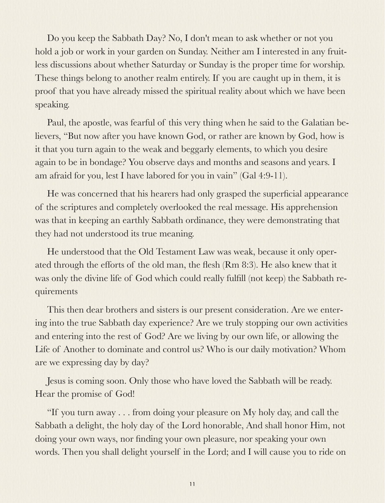Do you keep the Sabbath Day? No, I don't mean to ask whether or not you hold a job or work in your garden on Sunday. Neither am I interested in any fruitless discussions about whether Saturday or Sunday is the proper time for worship. These things belong to another realm entirely. If you are caught up in them, it is proof that you have already missed the spiritual reality about which we have been speaking.

Paul, the apostle, was fearful of this very thing when he said to the Galatian believers, "But now after you have known God, or rather are known by God, how is it that you turn again to the weak and beggarly elements, to which you desire again to be in bondage? You observe days and months and seasons and years. I am afraid for you, lest I have labored for you in vain" (Gal 4:9-11).

He was concerned that his hearers had only grasped the superficial appearance of the scriptures and completely overlooked the real message. His apprehension was that in keeping an earthly Sabbath ordinance, they were demonstrating that they had not understood its true meaning.

He understood that the Old Testament Law was weak, because it only operated through the efforts of the old man, the flesh (Rm 8:3). He also knew that it was only the divine life of God which could really fulfill (not keep) the Sabbath requirements

This then dear brothers and sisters is our present consideration. Are we entering into the true Sabbath day experience? Are we truly stopping our own activities and entering into the rest of God? Are we living by our own life, or allowing the Life of Another to dominate and control us? Who is our daily motivation? Whom are we expressing day by day?

Jesus is coming soon. Only those who have loved the Sabbath will be ready. Hear the promise of God!

"If you turn away . . . from doing your pleasure on My holy day, and call the Sabbath a delight, the holy day of the Lord honorable, And shall honor Him, not doing your own ways, nor finding your own pleasure, nor speaking your own words. Then you shall delight yourself in the Lord; and I will cause you to ride on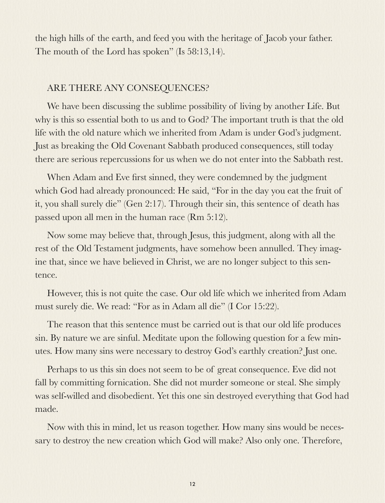the high hills of the earth, and feed you with the heritage of Jacob your father. The mouth of the Lord has spoken" (Is 58:13,14).

#### ARE THERE ANY CONSEQUENCES?

We have been discussing the sublime possibility of living by another Life. But why is this so essential both to us and to God? The important truth is that the old life with the old nature which we inherited from Adam is under God's judgment. Just as breaking the Old Covenant Sabbath produced consequences, still today there are serious repercussions for us when we do not enter into the Sabbath rest.

When Adam and Eve first sinned, they were condemned by the judgment which God had already pronounced: He said, "For in the day you eat the fruit of it, you shall surely die" (Gen 2:17). Through their sin, this sentence of death has passed upon all men in the human race (Rm 5:12).

Now some may believe that, through Jesus, this judgment, along with all the rest of the Old Testament judgments, have somehow been annulled. They imagine that, since we have believed in Christ, we are no longer subject to this sentence.

However, this is not quite the case. Our old life which we inherited from Adam must surely die. We read: "For as in Adam all die" (I Cor 15:22).

The reason that this sentence must be carried out is that our old life produces sin. By nature we are sinful. Meditate upon the following question for a few minutes. How many sins were necessary to destroy God's earthly creation? Just one.

Perhaps to us this sin does not seem to be of great consequence. Eve did not fall by committing fornication. She did not murder someone or steal. She simply was self-willed and disobedient. Yet this one sin destroyed everything that God had made.

Now with this in mind, let us reason together. How many sins would be necessary to destroy the new creation which God will make? Also only one. Therefore,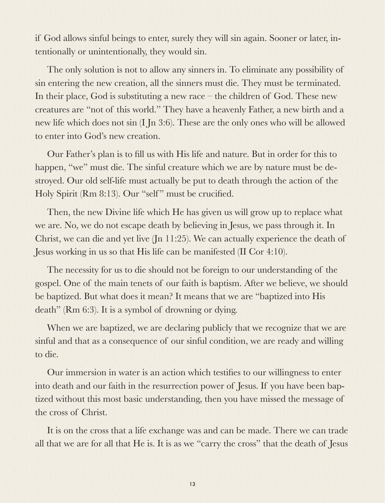if God allows sinful beings to enter, surely they will sin again. Sooner or later, intentionally or unintentionally, they would sin.

The only solution is not to allow any sinners in. To eliminate any possibility of sin entering the new creation, all the sinners must die. They must be terminated. In their place, God is substituting a new race – the children of God. These new creatures are "not of this world." They have a heavenly Father, a new birth and a new life which does not sin (I Jn 3:6). These are the only ones who will be allowed to enter into God's new creation.

Our Father's plan is to fill us with His life and nature. But in order for this to happen, "we" must die. The sinful creature which we are by nature must be destroyed. Our old self-life must actually be put to death through the action of the Holy Spirit (Rm 8:13). Our "self" must be crucified.

Then, the new Divine life which He has given us will grow up to replace what we are. No, we do not escape death by believing in Jesus, we pass through it. In Christ, we can die and yet live (Jn 11:25). We can actually experience the death of Jesus working in us so that His life can be manifested (II Cor 4:10).

The necessity for us to die should not be foreign to our understanding of the gospel. One of the main tenets of our faith is baptism. After we believe, we should be baptized. But what does it mean? It means that we are "baptized into His death" (Rm 6:3). It is a symbol of drowning or dying.

When we are baptized, we are declaring publicly that we recognize that we are sinful and that as a consequence of our sinful condition, we are ready and willing to die.

Our immersion in water is an action which testifies to our willingness to enter into death and our faith in the resurrection power of Jesus. If you have been baptized without this most basic understanding, then you have missed the message of the cross of Christ.

It is on the cross that a life exchange was and can be made. There we can trade all that we are for all that He is. It is as we "carry the cross" that the death of Jesus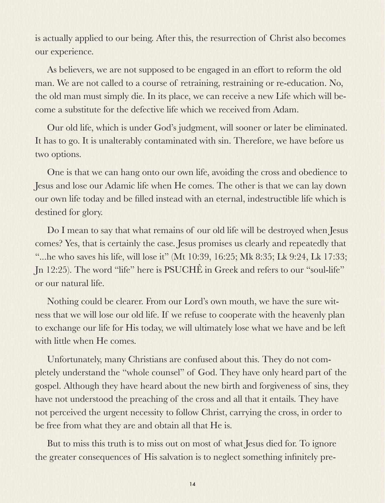is actually applied to our being. After this, the resurrection of Christ also becomes our experience.

As believers, we are not supposed to be engaged in an effort to reform the old man. We are not called to a course of retraining, restraining or re-education. No, the old man must simply die. In its place, we can receive a new Life which will become a substitute for the defective life which we received from Adam.

Our old life, which is under God's judgment, will sooner or later be eliminated. It has to go. It is unalterably contaminated with sin. Therefore, we have before us two options.

One is that we can hang onto our own life, avoiding the cross and obedience to Jesus and lose our Adamic life when He comes. The other is that we can lay down our own life today and be filled instead with an eternal, indestructible life which is destined for glory.

Do I mean to say that what remains of our old life will be destroyed when Jesus comes? Yes, that is certainly the case. Jesus promises us clearly and repeatedly that "...he who saves his life, will lose it" (Mt 10:39, 16:25; Mk 8:35; Lk 9:24, Lk 17:33; Jn 12:25). The word "life" here is PSUCHÊ in Greek and refers to our "soul-life" or our natural life.

Nothing could be clearer. From our Lord's own mouth, we have the sure witness that we will lose our old life. If we refuse to cooperate with the heavenly plan to exchange our life for His today, we will ultimately lose what we have and be left with little when He comes.

Unfortunately, many Christians are confused about this. They do not completely understand the "whole counsel" of God. They have only heard part of the gospel. Although they have heard about the new birth and forgiveness of sins, they have not understood the preaching of the cross and all that it entails. They have not perceived the urgent necessity to follow Christ, carrying the cross, in order to be free from what they are and obtain all that He is.

But to miss this truth is to miss out on most of what Jesus died for. To ignore the greater consequences of His salvation is to neglect something infinitely pre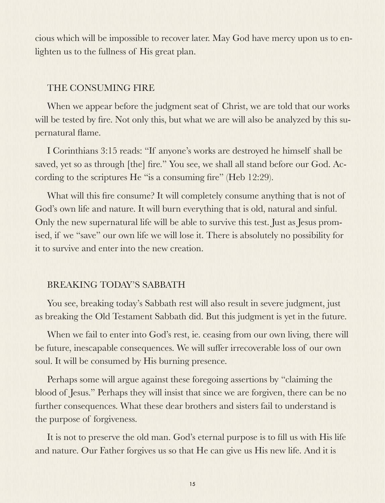cious which will be impossible to recover later. May God have mercy upon us to enlighten us to the fullness of His great plan.

#### THE CONSUMING FIRE

When we appear before the judgment seat of Christ, we are told that our works will be tested by fire. Not only this, but what we are will also be analyzed by this supernatural flame.

I Corinthians 3:15 reads: "If anyone's works are destroyed he himself shall be saved, yet so as through [the] fire." You see, we shall all stand before our God. According to the scriptures He "is a consuming fire" (Heb 12:29).

What will this fire consume? It will completely consume anything that is not of God's own life and nature. It will burn everything that is old, natural and sinful. Only the new supernatural life will be able to survive this test. Just as Jesus promised, if we "save" our own life we will lose it. There is absolutely no possibility for it to survive and enter into the new creation.

#### BREAKING TODAY'S SABBATH

You see, breaking today's Sabbath rest will also result in severe judgment, just as breaking the Old Testament Sabbath did. But this judgment is yet in the future.

When we fail to enter into God's rest, ie. ceasing from our own living, there will be future, inescapable consequences. We will suffer irrecoverable loss of our own soul. It will be consumed by His burning presence.

Perhaps some will argue against these foregoing assertions by "claiming the blood of Jesus." Perhaps they will insist that since we are forgiven, there can be no further consequences. What these dear brothers and sisters fail to understand is the purpose of forgiveness.

It is not to preserve the old man. God's eternal purpose is to fill us with His life and nature. Our Father forgives us so that He can give us His new life. And it is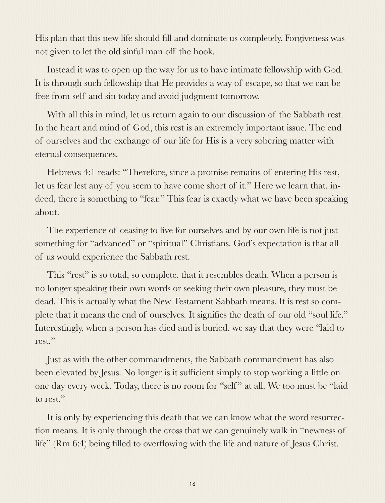His plan that this new life should fill and dominate us completely. Forgiveness was not given to let the old sinful man off the hook.

Instead it was to open up the way for us to have intimate fellowship with God. It is through such fellowship that He provides a way of escape, so that we can be free from self and sin today and avoid judgment tomorrow.

With all this in mind, let us return again to our discussion of the Sabbath rest. In the heart and mind of God, this rest is an extremely important issue. The end of ourselves and the exchange of our life for His is a very sobering matter with eternal consequences.

Hebrews 4:1 reads: "Therefore, since a promise remains of entering His rest, let us fear lest any of you seem to have come short of it." Here we learn that, indeed, there is something to "fear." This fear is exactly what we have been speaking about.

The experience of ceasing to live for ourselves and by our own life is not just something for "advanced" or "spiritual" Christians. God's expectation is that all of us would experience the Sabbath rest.

This "rest" is so total, so complete, that it resembles death. When a person is no longer speaking their own words or seeking their own pleasure, they must be dead. This is actually what the New Testament Sabbath means. It is rest so complete that it means the end of ourselves. It signifies the death of our old "soul life." Interestingly, when a person has died and is buried, we say that they were "laid to rest."

Just as with the other commandments, the Sabbath commandment has also been elevated by Jesus. No longer is it sufficient simply to stop working a little on one day every week. Today, there is no room for "self" at all. We too must be "laid to rest."

It is only by experiencing this death that we can know what the word resurrection means. It is only through the cross that we can genuinely walk in "newness of life" (Rm 6:4) being filled to overflowing with the life and nature of Jesus Christ.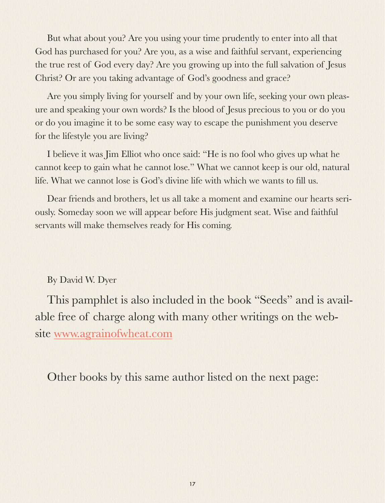But what about you? Are you using your time prudently to enter into all that God has purchased for you? Are you, as a wise and faithful servant, experiencing the true rest of God every day? Are you growing up into the full salvation of Jesus Christ? Or are you taking advantage of God's goodness and grace?

Are you simply living for yourself and by your own life, seeking your own pleasure and speaking your own words? Is the blood of Jesus precious to you or do you or do you imagine it to be some easy way to escape the punishment you deserve for the lifestyle you are living?

I believe it was Jim Elliot who once said: "He is no fool who gives up what he cannot keep to gain what he cannot lose." What we cannot keep is our old, natural life. What we cannot lose is God's divine life with which we wants to fill us.

Dear friends and brothers, let us all take a moment and examine our hearts seriously. Someday soon we will appear before His judgment seat. Wise and faithful servants will make themselves ready for His coming.

### By David W. Dyer

This pamphlet is also included in the book "Seeds" and is available free of charge along with many other writings on the website [www.agrainofwheat.com](http://www.agrainofwheat.com)

Other books by this same author listed on the next page: